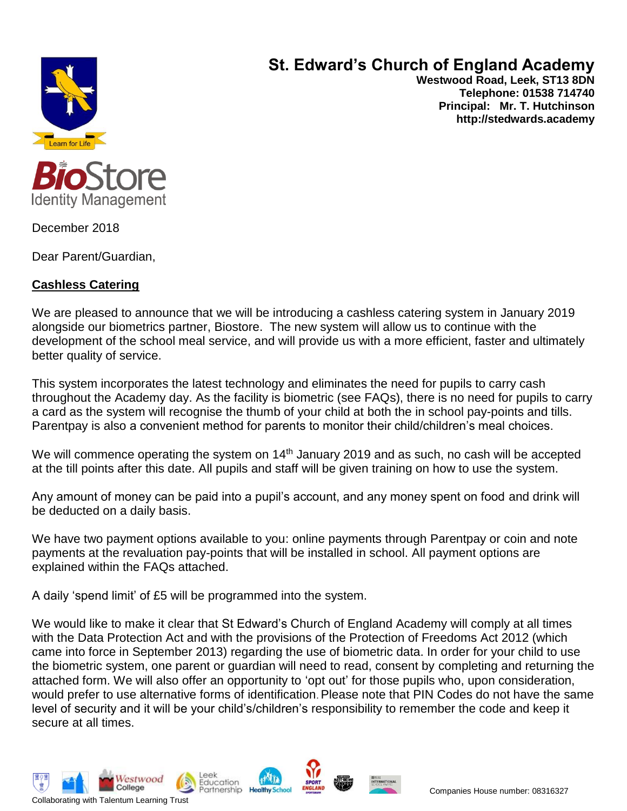

# **St. Edward's Church of England Academy**

**Westwood Road, Leek, ST13 8DN Telephone: 01538 714740 Principal: Mr. T. Hutchinson http://stedwards.academy**



December 2018

Dear Parent/Guardian,

## **Cashless Catering**

We are pleased to announce that we will be introducing a cashless catering system in January 2019 alongside our biometrics partner, Biostore. The new system will allow us to continue with the development of the school meal service, and will provide us with a more efficient, faster and ultimately better quality of service.

This system incorporates the latest technology and eliminates the need for pupils to carry cash throughout the Academy day. As the facility is biometric (see FAQs), there is no need for pupils to carry a card as the system will recognise the thumb of your child at both the in school pay-points and tills. Parentpay is also a convenient method for parents to monitor their child/children's meal choices.

We will commence operating the system on 14<sup>th</sup> January 2019 and as such, no cash will be accepted at the till points after this date. All pupils and staff will be given training on how to use the system.

Any amount of money can be paid into a pupil's account, and any money spent on food and drink will be deducted on a daily basis.

We have two payment options available to you: online payments through Parentpay or coin and note payments at the revaluation pay-points that will be installed in school. All payment options are explained within the FAQs attached.

A daily 'spend limit' of £5 will be programmed into the system.

We would like to make it clear that St Edward's Church of England Academy will comply at all times with the Data Protection Act and with the provisions of the Protection of Freedoms Act 2012 (which came into force in September 2013) regarding the use of biometric data. In order for your child to use the biometric system, one parent or guardian will need to read, consent by completing and returning the attached form. We will also offer an opportunity to 'opt out' for those pupils who, upon consideration, would prefer to use alternative forms of identification. Please note that PIN Codes do not have the same level of security and it will be your child's/children's responsibility to remember the code and keep it secure at all times.







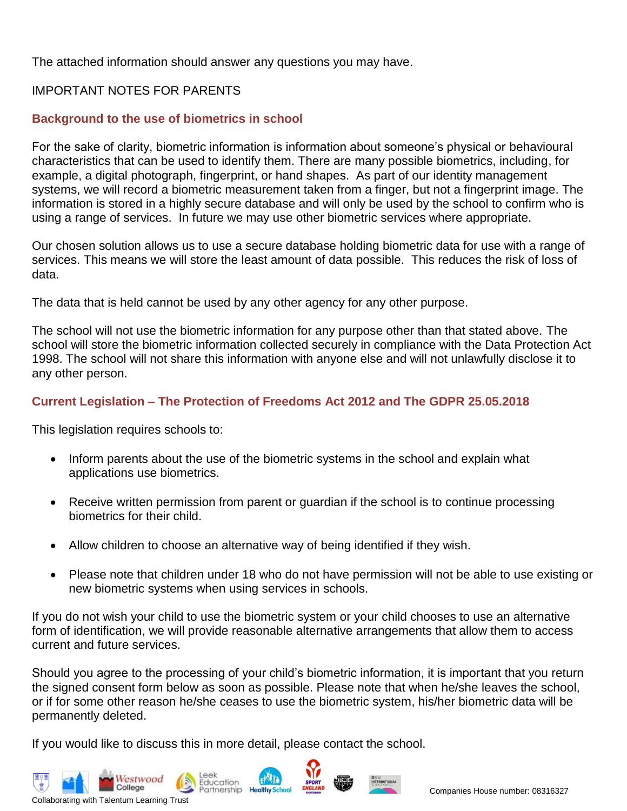The attached information should answer any questions you may have.

### IMPORTANT NOTES FOR PARENTS

#### **Background to the use of biometrics in school**

For the sake of clarity, biometric information is information about someone's physical or behavioural characteristics that can be used to identify them. There are many possible biometrics, including, for example, a digital photograph, fingerprint, or hand shapes. As part of our identity management systems, we will record a biometric measurement taken from a finger, but not a fingerprint image. The information is stored in a highly secure database and will only be used by the school to confirm who is using a range of services. In future we may use other biometric services where appropriate.

Our chosen solution allows us to use a secure database holding biometric data for use with a range of services. This means we will store the least amount of data possible. This reduces the risk of loss of data.

The data that is held cannot be used by any other agency for any other purpose.

The school will not use the biometric information for any purpose other than that stated above*.* The school will store the biometric information collected securely in compliance with the Data Protection Act 1998. The school will not share this information with anyone else and will not unlawfully disclose it to any other person.

#### **Current Legislation – The Protection of Freedoms Act 2012 and The GDPR 25.05.2018**

This legislation requires schools to:

- Inform parents about the use of the biometric systems in the school and explain what applications use biometrics.
- Receive written permission from parent or quardian if the school is to continue processing biometrics for their child.
- Allow children to choose an alternative way of being identified if they wish.
- Please note that children under 18 who do not have permission will not be able to use existing or new biometric systems when using services in schools.

If you do not wish your child to use the biometric system or your child chooses to use an alternative form of identification, we will provide reasonable alternative arrangements that allow them to access current and future services.

Should you agree to the processing of your child's biometric information, it is important that you return the signed consent form below as soon as possible. Please note that when he/she leaves the school, or if for some other reason he/she ceases to use the biometric system, his/her biometric data will be permanently deleted.

If you would like to discuss this in more detail, please contact the school.